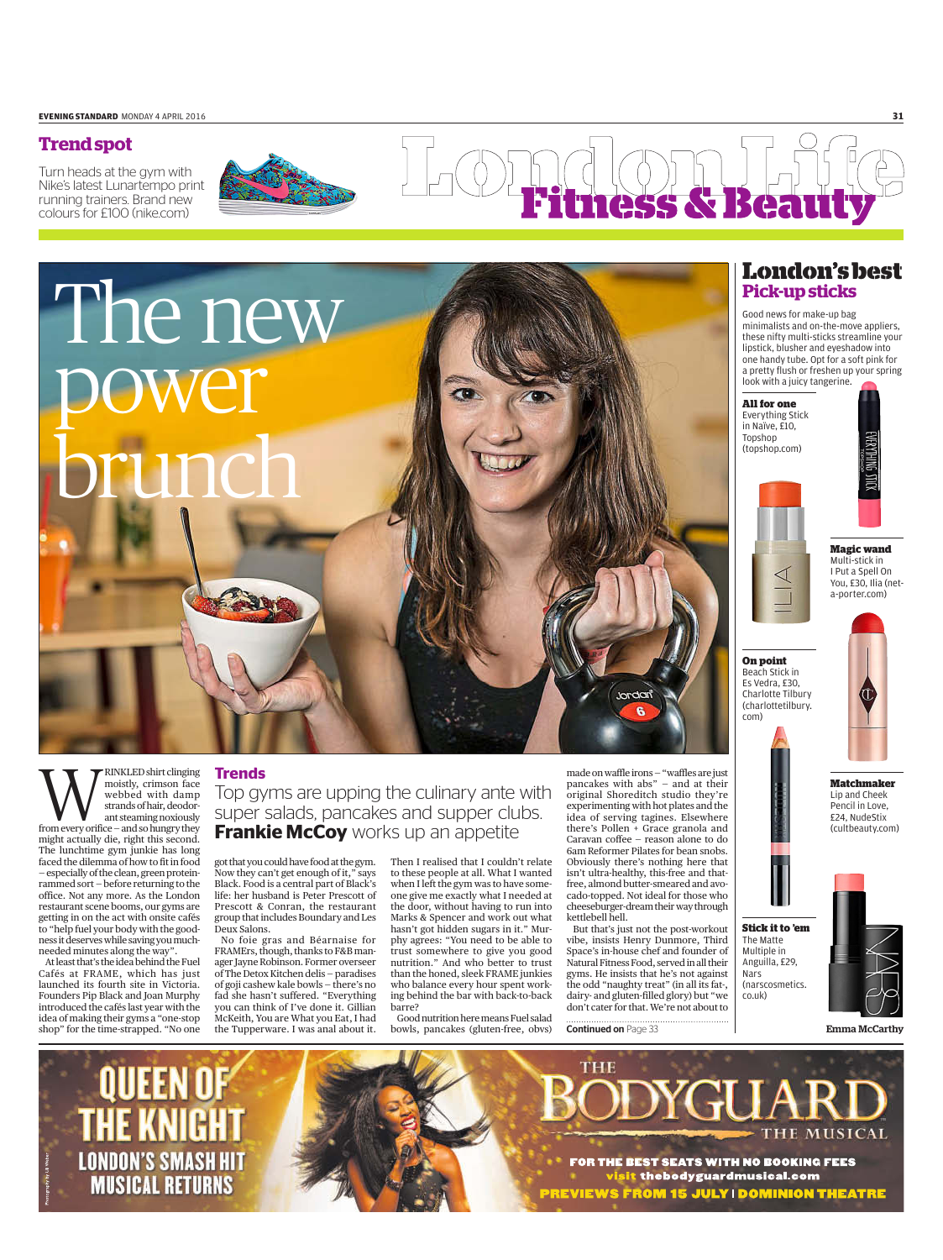### **Trend spot**

Turn heads at the gym with Nike's latest Lunartempo print running trainers. Brand new colours for £100 (nike.com)



## 55 &

# The new power brunch

**WARRINKLED shirt clinging**<br>
webbed with damp<br>
strands of hair, deodor-<br>
ant steaming noxiously<br>
from every orifice – and so hungry they moistly, crimson face webbed with damp strands of hair, deodorant steaming noxiously

might actually die, right this second. The lunchtime gym junkie has long faced the dilemma of how to fit in food — especially of the clean, green proteinrammed sort — before returning to the office. Not any more. As the London restaurant scene booms, our gyms are getting in on the act with onsite cafés to "help fuel your body with the goodness it deserves while saving you muchneeded minutes along the way".

At least that's the idea behind the Fuel Cafés at FRAME, which has just launched its fourth site in Victoria. Founders Pip Black and Joan Murphy introduced the cafés last year with the idea of making their gyms a "one-stop

### **Trends**

Top gyms are upping the culinary ante with super salads, pancakes and supper clubs. **Frankie McCoy** works up an appetite

got that you could have food at the gym. Now they can't get enough of it," says Black. Food is a central part of Black's life: her husband is Peter Prescott of Prescott & Conran, the restaurant group that includes Boundary and Les Deux Salons.

shop" for the time-strapped. "No one the Tupperware. I was anal about it. bowls, pancakes (gluten-free, obvs) No foie gras and Béarnaise for FRAMErs, though, thanks to F&B manager Jayne Robinson. Former overseer of The Detox Kitchen delis — paradises of goji cashew kale bowls — there's no fad she hasn't suffered. "Everything you can think of I've done it. Gillian McKeith, You are What you Eat, I had

Then I realised that I couldn't relate to these people at all. What I wanted when I left the gym was to have someone give me exactly what I needed at the door, without having to run into Marks & Spencer and work out what hasn't got hidden sugars in it." Murphy agrees: "You need to be able to trust somewhere to give you good nutrition." And who better to trust than the honed, sleek FRAME junkies who balance every hour spent working behind the bar with back-to-back barre?

Good nutrition here means Fuel salad

made on waffle irons — "waffles are just pancakes with abs" — and at their original Shoreditch studio they're experimenting with hot plates and the idea of serving tagines. Elsewhere there's Pollen + Grace granola and Caravan coffee — reason alone to do 6am Reformer Pilates for bean snobs. Obviously there's nothing here that isn't ultra-healthy, this-free and thatfree, almond butter-smeared and avocado-topped. Not ideal for those who cheeseburger-dream their way through kettlebell hell.

Jordan

But that's just not the post-workout vibe, insists Henry Dunmore, Third Space's in-house chef and founder of Natural Fitness Food, served in all their gyms. He insists that he's not against the odd "naughty treat" (in all its fat-, dairy- and gluten-filled glory) but "we don't cater for that. We're not about to

**Continued on Page 33** 

**THE** 

### **London's best Pick-up sticks**

Good news for make-up bag minimalists and on-the-move appliers, these nifty multi-sticks streamline your lipstick, blusher and eyeshadow into one handy tube. opt for a soft pink for a pretty flush or freshen up your spring look with a juicy tangerine.

**All for one** Everything Stick in naïve, £10, Topshop (topshop.com)

**On point** Beach Stick in Es Vedra, £30, Charlotte Tilbury (charlottetilbury.

com)



**Magic wand** Multi-stick in i put a Spell on you, £30, ilia (neta-porter.com)



**Matchmaker** lip and Cheek pencil in love, £24, nudeStix (cultbeauty.com)







Emma McCarthy



**THE MUSICAL FOR THE BEST SEATS WITH NO BOOKING FEES** visit thebodyguardmusical.com **PREVIEWS FROM 15 JULY I DOMINION THEATRE**